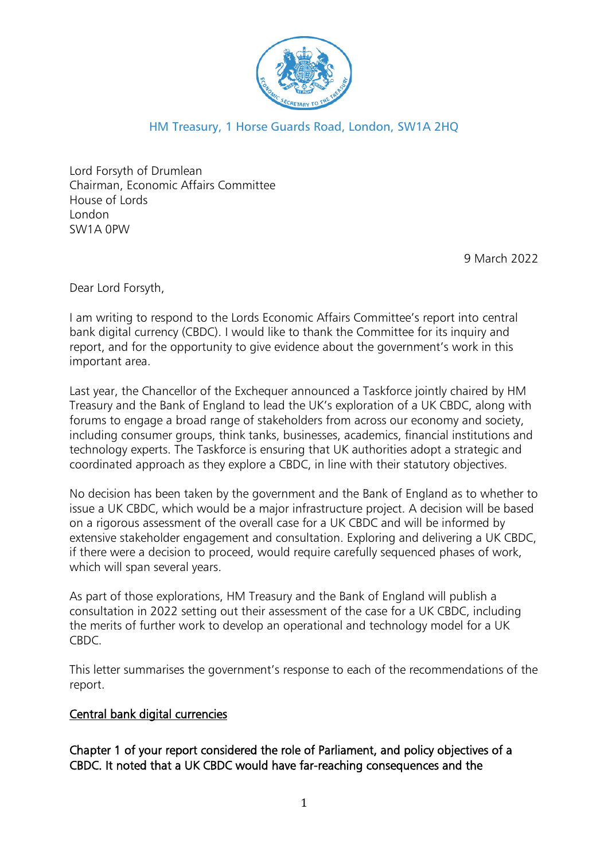

# HM Treasury, 1 Horse Guards Road, London, SW1A 2HQ

Lord Forsyth of Drumlean Chairman, Economic Affairs Committee House of Lords London SW1A 0PW

9 March 2022

Dear Lord Forsyth,

I am writing to respond to the Lords Economic Affairs Committee's report into central bank digital currency (CBDC). I would like to thank the Committee for its inquiry and report, and for the opportunity to give evidence about the government's work in this important area.

Last year, the Chancellor of the Exchequer announced a Taskforce jointly chaired by HM Treasury and the Bank of England to lead the UK's exploration of a UK CBDC, along with forums to engage a broad range of stakeholders from across our economy and society, including consumer groups, think tanks, businesses, academics, financial institutions and technology experts. The Taskforce is ensuring that UK authorities adopt a strategic and coordinated approach as they explore a CBDC, in line with their statutory objectives.

No decision has been taken by the government and the Bank of England as to whether to issue a UK CBDC, which would be a major infrastructure project. A decision will be based on a rigorous assessment of the overall case for a UK CBDC and will be informed by extensive stakeholder engagement and consultation. Exploring and delivering a UK CBDC, if there were a decision to proceed, would require carefully sequenced phases of work, which will span several years.

As part of those explorations, HM Treasury and the Bank of England will publish a consultation in 2022 setting out their assessment of the case for a UK CBDC, including the merits of further work to develop an operational and technology model for a UK CBDC.

This letter summarises the government's response to each of the recommendations of the report.

# Central bank digital currencies

Chapter 1 of your report considered the role of Parliament, and policy objectives of a CBDC. It noted that a UK CBDC would have far-reaching consequences and the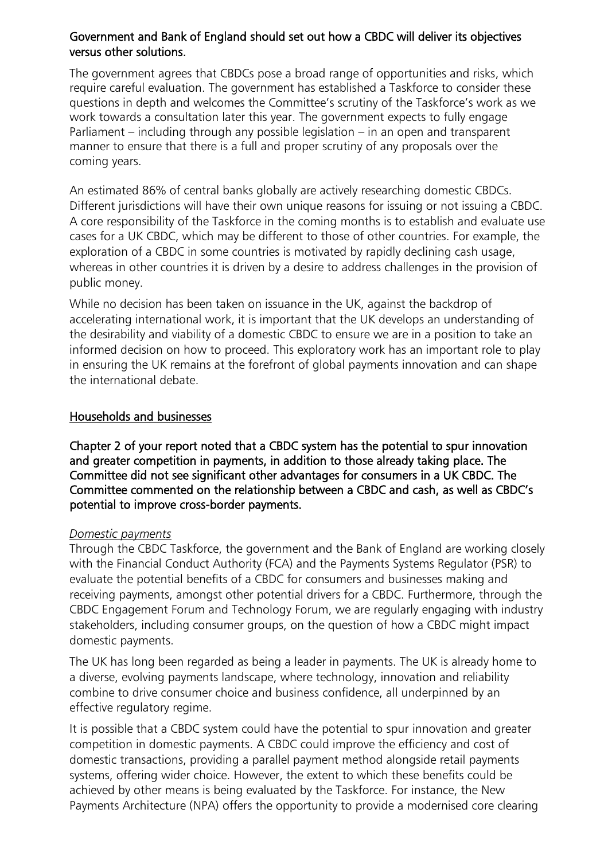# Government and Bank of England should set out how a CBDC will deliver its objectives versus other solutions.

The government agrees that CBDCs pose a broad range of opportunities and risks, which require careful evaluation. The government has established a Taskforce to consider these questions in depth and welcomes the Committee's scrutiny of the Taskforce's work as we work towards a consultation later this year. The government expects to fully engage Parliament – including through any possible legislation – in an open and transparent manner to ensure that there is a full and proper scrutiny of any proposals over the coming years.

An estimated 86% of central banks globally are actively researching domestic CBDCs. Different jurisdictions will have their own unique reasons for issuing or not issuing a CBDC. A core responsibility of the Taskforce in the coming months is to establish and evaluate use cases for a UK CBDC, which may be different to those of other countries. For example, the exploration of a CBDC in some countries is motivated by rapidly declining cash usage, whereas in other countries it is driven by a desire to address challenges in the provision of public money.

While no decision has been taken on issuance in the UK, against the backdrop of accelerating international work, it is important that the UK develops an understanding of the desirability and viability of a domestic CBDC to ensure we are in a position to take an informed decision on how to proceed. This exploratory work has an important role to play in ensuring the UK remains at the forefront of global payments innovation and can shape the international debate.

# Households and businesses

Chapter 2 of your report noted that a CBDC system has the potential to spur innovation and greater competition in payments, in addition to those already taking place. The Committee did not see significant other advantages for consumers in a UK CBDC. The Committee commented on the relationship between a CBDC and cash, as well as CBDC's potential to improve cross-border payments.

# *Domestic payments*

Through the CBDC Taskforce, the government and the Bank of England are working closely with the Financial Conduct Authority (FCA) and the Payments Systems Regulator (PSR) to evaluate the potential benefits of a CBDC for consumers and businesses making and receiving payments, amongst other potential drivers for a CBDC. Furthermore, through the CBDC Engagement Forum and Technology Forum, we are regularly engaging with industry stakeholders, including consumer groups, on the question of how a CBDC might impact domestic payments.

The UK has long been regarded as being a leader in payments. The UK is already home to a diverse, evolving payments landscape, where technology, innovation and reliability combine to drive consumer choice and business confidence, all underpinned by an effective regulatory regime.

It is possible that a CBDC system could have the potential to spur innovation and greater competition in domestic payments. A CBDC could improve the efficiency and cost of domestic transactions, providing a parallel payment method alongside retail payments systems, offering wider choice. However, the extent to which these benefits could be achieved by other means is being evaluated by the Taskforce. For instance, the New Payments Architecture (NPA) offers the opportunity to provide a modernised core clearing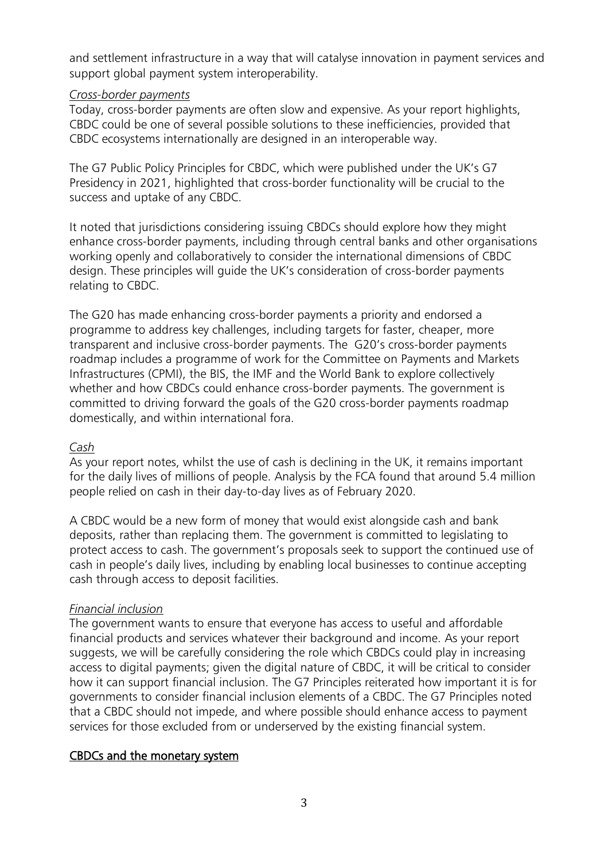and settlement infrastructure in a way that will catalyse innovation in payment services and support global payment system interoperability.

#### *Cross-border payments*

Today, cross-border payments are often slow and expensive. As your report highlights, CBDC could be one of several possible solutions to these inefficiencies, provided that CBDC ecosystems internationally are designed in an interoperable way.

The G7 Public Policy Principles for CBDC, which were published under the UK's G7 Presidency in 2021, highlighted that cross-border functionality will be crucial to the success and uptake of any CBDC.

It noted that jurisdictions considering issuing CBDCs should explore how they might enhance cross-border payments, including through central banks and other organisations working openly and collaboratively to consider the international dimensions of CBDC design. These principles will guide the UK's consideration of cross-border payments relating to CBDC.

The G20 has made enhancing cross-border payments a priority and endorsed a programme to address key challenges, including targets for faster, cheaper, more transparent and inclusive cross-border payments. The G20's cross-border payments roadmap includes a programme of work for the Committee on Payments and Markets Infrastructures (CPMI), the BIS, the IMF and the World Bank to explore collectively whether and how CBDCs could enhance cross-border payments. The government is committed to driving forward the goals of the G20 cross-border payments roadmap domestically, and within international fora.

# *Cash*

As your report notes, whilst the use of cash is declining in the UK, it remains important for the daily lives of millions of people. Analysis by the FCA found that around 5.4 million people relied on cash in their day-to-day lives as of February 2020.

A CBDC would be a new form of money that would exist alongside cash and bank deposits, rather than replacing them. The government is committed to legislating to protect access to cash. The government's proposals seek to support the continued use of cash in people's daily lives, including by enabling local businesses to continue accepting cash through access to deposit facilities.

# *Financial inclusion*

The government wants to ensure that everyone has access to useful and affordable financial products and services whatever their background and income. As your report suggests, we will be carefully considering the role which CBDCs could play in increasing access to digital payments; given the digital nature of CBDC, it will be critical to consider how it can support financial inclusion. The G7 Principles reiterated how important it is for governments to consider financial inclusion elements of a CBDC. The G7 Principles noted that a CBDC should not impede, and where possible should enhance access to payment services for those excluded from or underserved by the existing financial system.

# CBDCs and the monetary system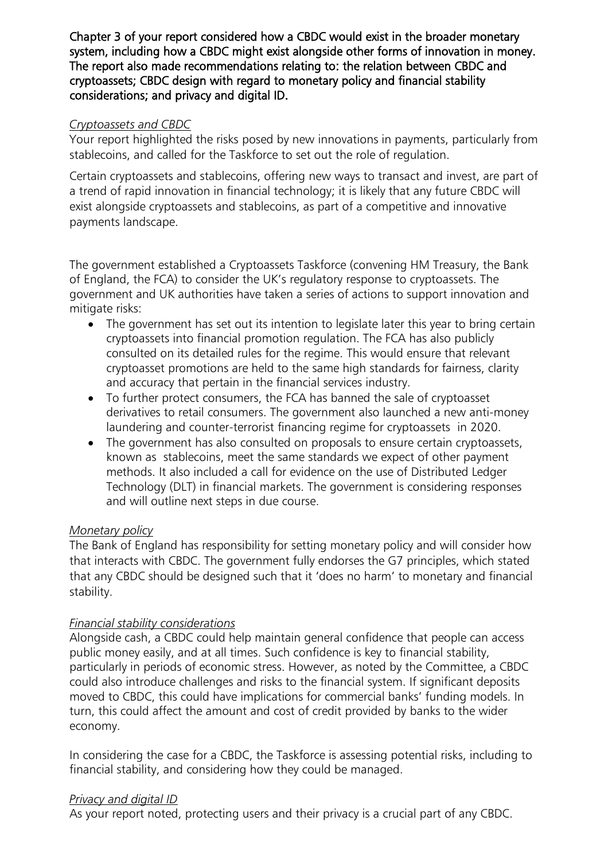Chapter 3 of your report considered how a CBDC would exist in the broader monetary system, including how a CBDC might exist alongside other forms of innovation in money. The report also made recommendations relating to: the relation between CBDC and cryptoassets; CBDC design with regard to monetary policy and financial stability considerations; and privacy and digital ID.

# *Cryptoassets and CBDC*

Your report highlighted the risks posed by new innovations in payments, particularly from stablecoins, and called for the Taskforce to set out the role of regulation.

Certain cryptoassets and stablecoins, offering new ways to transact and invest, are part of a trend of rapid innovation in financial technology; it is likely that any future CBDC will exist alongside cryptoassets and stablecoins, as part of a competitive and innovative payments landscape.

The government established a Cryptoassets Taskforce (convening HM Treasury, the Bank of England, the FCA) to consider the UK's regulatory response to cryptoassets. The government and UK authorities have taken a series of actions to support innovation and mitigate risks:

- The government has set out its intention to legislate later this year to bring certain cryptoassets into financial promotion regulation. The FCA has also publicly consulted on its detailed rules for the regime. This would ensure that relevant cryptoasset promotions are held to the same high standards for fairness, clarity and accuracy that pertain in the financial services industry.
- To further protect consumers, the FCA has banned the sale of cryptoasset derivatives to retail consumers. The government also launched a new anti-money laundering and counter-terrorist financing regime for cryptoassets in 2020.
- The government has also consulted on proposals to ensure certain cryptoassets, known as stablecoins, meet the same standards we expect of other payment methods. It also included a call for evidence on the use of Distributed Ledger Technology (DLT) in financial markets. The government is considering responses and will outline next steps in due course.

# *Monetary policy*

The Bank of England has responsibility for setting monetary policy and will consider how that interacts with CBDC. The government fully endorses the G7 principles, which stated that any CBDC should be designed such that it 'does no harm' to monetary and financial stability.

# *Financial stability considerations*

Alongside cash, a CBDC could help maintain general confidence that people can access public money easily, and at all times. Such confidence is key to financial stability, particularly in periods of economic stress. However, as noted by the Committee, a CBDC could also introduce challenges and risks to the financial system. If significant deposits moved to CBDC, this could have implications for commercial banks' funding models. In turn, this could affect the amount and cost of credit provided by banks to the wider economy.

In considering the case for a CBDC, the Taskforce is assessing potential risks, including to financial stability, and considering how they could be managed.

# *Privacy and digital ID*

As your report noted, protecting users and their privacy is a crucial part of any CBDC.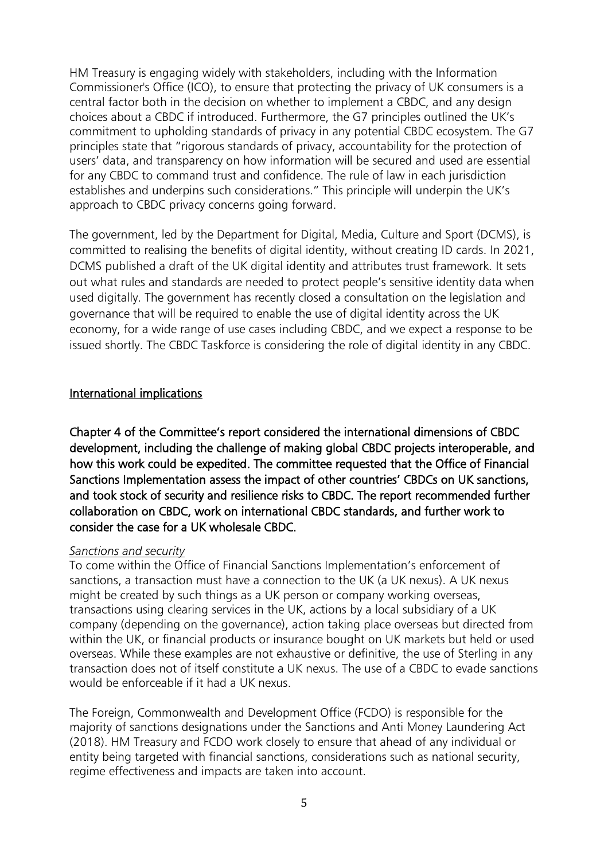HM Treasury is engaging widely with stakeholders, including with the Information Commissioner's Office (ICO), to ensure that protecting the privacy of UK consumers is a central factor both in the decision on whether to implement a CBDC, and any design choices about a CBDC if introduced. Furthermore, the G7 principles outlined the UK's commitment to upholding standards of privacy in any potential CBDC ecosystem. The G7 principles state that "rigorous standards of privacy, accountability for the protection of users' data, and transparency on how information will be secured and used are essential for any CBDC to command trust and confidence. The rule of law in each jurisdiction establishes and underpins such considerations." This principle will underpin the UK's approach to CBDC privacy concerns going forward.

The government, led by the Department for Digital, Media, Culture and Sport (DCMS), is committed to realising the benefits of digital identity, without creating ID cards. In 2021, DCMS published a draft of the UK digital identity and attributes trust framework. It sets out what rules and standards are needed to protect people's sensitive identity data when used digitally. The government has recently closed a consultation on the legislation and governance that will be required to enable the use of digital identity across the UK economy, for a wide range of use cases including CBDC, and we expect a response to be issued shortly. The CBDC Taskforce is considering the role of digital identity in any CBDC.

# International implications

Chapter 4 of the Committee's report considered the international dimensions of CBDC development, including the challenge of making global CBDC projects interoperable, and how this work could be expedited. The committee requested that the Office of Financial Sanctions Implementation assess the impact of other countries' CBDCs on UK sanctions, and took stock of security and resilience risks to CBDC. The report recommended further collaboration on CBDC, work on international CBDC standards, and further work to consider the case for a UK wholesale CBDC.

#### *Sanctions and security*

To come within the Office of Financial Sanctions Implementation's enforcement of sanctions, a transaction must have a connection to the UK (a UK nexus). A UK nexus might be created by such things as a UK person or company working overseas, transactions using clearing services in the UK, actions by a local subsidiary of a UK company (depending on the governance), action taking place overseas but directed from within the UK, or financial products or insurance bought on UK markets but held or used overseas. While these examples are not exhaustive or definitive, the use of Sterling in any transaction does not of itself constitute a UK nexus. The use of a CBDC to evade sanctions would be enforceable if it had a UK nexus.

The Foreign, Commonwealth and Development Office (FCDO) is responsible for the majority of sanctions designations under the Sanctions and Anti Money Laundering Act (2018). HM Treasury and FCDO work closely to ensure that ahead of any individual or entity being targeted with financial sanctions, considerations such as national security, regime effectiveness and impacts are taken into account.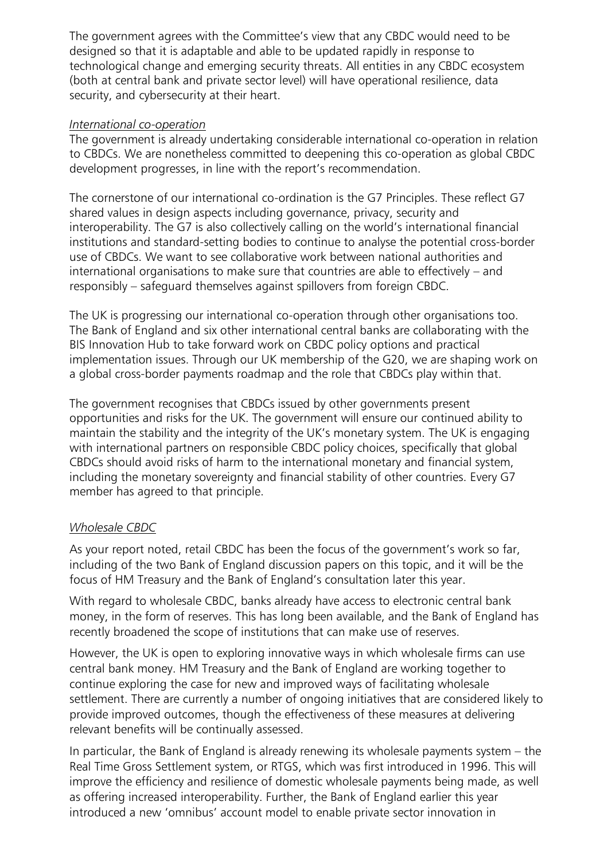The government agrees with the Committee's view that any CBDC would need to be designed so that it is adaptable and able to be updated rapidly in response to technological change and emerging security threats. All entities in any CBDC ecosystem (both at central bank and private sector level) will have operational resilience, data security, and cybersecurity at their heart.

# *International co-operation*

The government is already undertaking considerable international co-operation in relation to CBDCs. We are nonetheless committed to deepening this co-operation as global CBDC development progresses, in line with the report's recommendation.

The cornerstone of our international co-ordination is the G7 Principles. These reflect G7 shared values in design aspects including governance, privacy, security and interoperability. The G7 is also collectively calling on the world's international financial institutions and standard-setting bodies to continue to analyse the potential cross-border use of CBDCs. We want to see collaborative work between national authorities and international organisations to make sure that countries are able to effectively – and responsibly – safeguard themselves against spillovers from foreign CBDC.

The UK is progressing our international co-operation through other organisations too. The Bank of England and six other international central banks are collaborating with the BIS Innovation Hub to take forward work on CBDC policy options and practical implementation issues. Through our UK membership of the G20, we are shaping work on a global cross-border payments roadmap and the role that CBDCs play within that.

The government recognises that CBDCs issued by other governments present opportunities and risks for the UK. The government will ensure our continued ability to maintain the stability and the integrity of the UK's monetary system. The UK is engaging with international partners on responsible CBDC policy choices, specifically that global CBDCs should avoid risks of harm to the international monetary and financial system, including the monetary sovereignty and financial stability of other countries. Every G7 member has agreed to that principle.

# *Wholesale CBDC*

As your report noted, retail CBDC has been the focus of the government's work so far, including of the two Bank of England discussion papers on this topic, and it will be the focus of HM Treasury and the Bank of England's consultation later this year.

With regard to wholesale CBDC, banks already have access to electronic central bank money, in the form of reserves. This has long been available, and the Bank of England has recently broadened the scope of institutions that can make use of reserves.

However, the UK is open to exploring innovative ways in which wholesale firms can use central bank money. HM Treasury and the Bank of England are working together to continue exploring the case for new and improved ways of facilitating wholesale settlement. There are currently a number of ongoing initiatives that are considered likely to provide improved outcomes, though the effectiveness of these measures at delivering relevant benefits will be continually assessed.

In particular, the Bank of England is already renewing its wholesale payments system – the Real Time Gross Settlement system, or RTGS, which was first introduced in 1996. This will improve the efficiency and resilience of domestic wholesale payments being made, as well as offering increased interoperability. Further, the Bank of England earlier this year introduced a new 'omnibus' account model to enable private sector innovation in